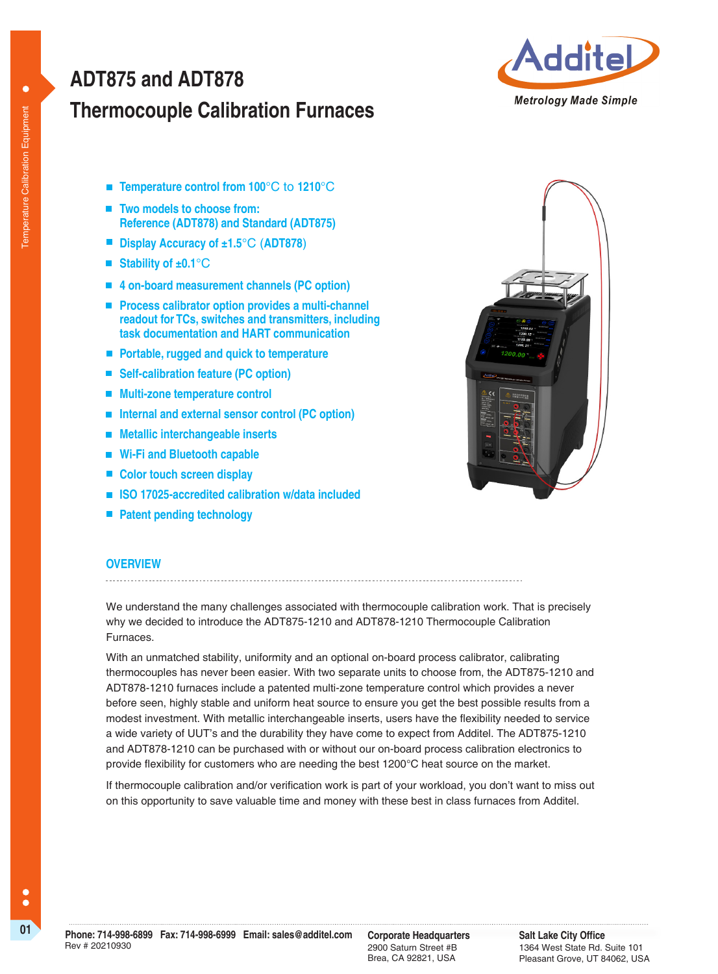# **Thermocouple Calibration Furnaces ADT875 and ADT878**



- **Temperature control from 100°C to 1210°C**
- Two models to choose from: **Reference (ADT878) and Standard (ADT875)**
- **Display Accuracy of ±1.5**°C (**ADT878**)
- Stability of ±0.1<sup>°</sup>C
- **4 on-board measurement channels (PC option)**
- **Process calibrator option provides a multi-channel readout for TCs, switches and transmitters, including task documentation and HART communication**
- **Portable, rugged and quick to temperature**
- Self-calibration feature (PC option)
- **Multi-zone temperature control**
- Internal and external sensor control (PC option)
- **Metallic interchangeable inserts**
- **Wi-Fi and Bluetooth capable**
- Color touch screen display
- **ISO 17025-accredited calibration w/data included**
- **Patent pending technology**



## **OVERVIEW**

We understand the many challenges associated with thermocouple calibration work. That is precisely why we decided to introduce the ADT875-1210 and ADT878-1210 Thermocouple Calibration Furnaces.

With an unmatched stability, uniformity and an optional on-board process calibrator, calibrating thermocouples has never been easier. With two separate units to choose from, the ADT875-1210 and ADT878-1210 furnaces include a patented multi-zone temperature control which provides a never before seen, highly stable and uniform heat source to ensure you get the best possible results from a modest investment. With metallic interchangeable inserts, users have the flexibility needed to service a wide variety of UUT's and the durability they have come to expect from Additel. The ADT875-1210 and ADT878-1210 can be purchased with or without our on-board process calibration electronics to provide flexibility for customers who are needing the best 1200°C heat source on the market.

If thermocouple calibration and/or verification work is part of your workload, you don't want to miss out on this opportunity to save valuable time and money with these best in class furnaces from Additel.

2900 Saturn Street #B Brea, CA 92821, USA

**Salt Lake City Office** 1364 West State Rd. Suite 101 Pleasant Grove, UT 84062, USA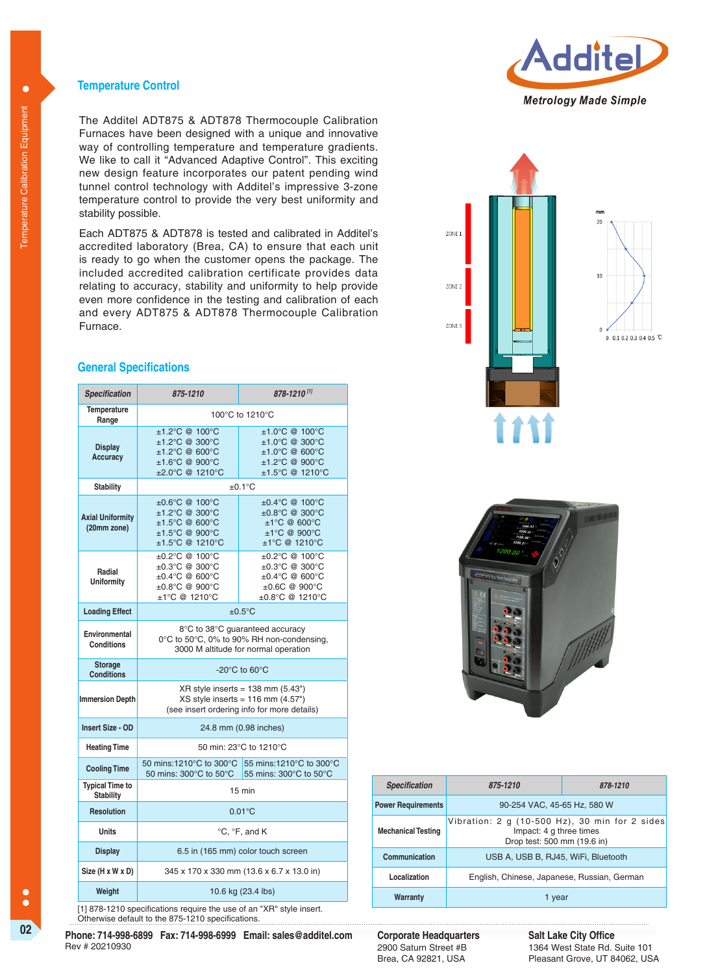### **Temperature Control**

The Additel ADT875 & ADT878 Thermocouple Calibration Furnaces have been designed with a unique and innovative way of controlling temperature and temperature gradients. We like to call it "Advanced Adaptive Control". This exciting new design feature incorporates our patent pending wind tunnel control technology with Additel's impressive 3-zone temperature control to provide the very best uniformity and stability possible.

Each ADT875 & ADT878 is tested and calibrated in Additel's accredited laboratory (Brea, CA) to ensure that each unit is ready to go when the customer opens the package. The included accredited calibration certificate provides data relating to accuracy, stability and uniformity to help provide even more confidence in the testing and calibration of each and every ADT875 & ADT878 Thermocouple Calibration Furnace.

### **General Specifications**

| <b>Specification</b>                       | $878 - 1210^{11}$<br>875-1210                                                                                                                           |                                                                                                                                                  |  |
|--------------------------------------------|---------------------------------------------------------------------------------------------------------------------------------------------------------|--------------------------------------------------------------------------------------------------------------------------------------------------|--|
| Temperature<br>Range                       | 100°C to 1210°C                                                                                                                                         |                                                                                                                                                  |  |
| <b>Display</b><br>Accuracy                 | ±1.2°C @ 100°C<br>±1.2°C @ 300°C<br>$±1.2^{\circ}C$ @ 600 $^{\circ}C$<br>$±1.6^{\circ}C$ @ 900 $^{\circ}C$<br>±2.0°C @ 1210°C                           | $±1.0^{\circ}C$ @ 100 $^{\circ}C$<br>±1.0°C @ 300°C<br>$±1.0^{\circ}C$ @ 600 $^{\circ}C$<br>$±1.2^{\circ}C$ @ 900 $^{\circ}C$<br>±1.5°C @ 1210°C |  |
| <b>Stability</b>                           | $±0.1$ °C                                                                                                                                               |                                                                                                                                                  |  |
| <b>Axial Uniformity</b><br>(20mm zone)     | $\pm 0.6^{\circ}$ C @ 100 $^{\circ}$ C<br>±1.2°C @ 300°C<br>±1.5°C @ 600°C<br>$±1.5^{\circ}C$ @ 900 $^{\circ}C$<br>$±1.5^{\circ}$ C @ 1210 $^{\circ}$ C | $\pm 0.4$ °C @ 100°C<br>±0.8°C @ 300°C<br>$±1°C$ @ 600°C<br>$±1°C$ @ 900°C<br>$±1°C$ @ 1210°C                                                    |  |
| Radial<br><b>Uniformity</b>                | $\pm 0.2^{\circ}$ C @ 100 $^{\circ}$ C<br>$\pm 0.3$ °C @ 300°C<br>$\pm 0.4$ °C @ 600°C<br>$+0.8$ °C @ 900°C<br>$±1°C$ @ 1210°C                          | ±0.2°C @ 100°C<br>$\pm 0.3$ °C @ 300°C<br>$\pm 0.4$ °C @ 600°C<br>$+0.6C$ @ 900°C<br>±0.8°C @ 1210°C                                             |  |
| <b>Loading Effect</b>                      | $±0.5$ °C                                                                                                                                               |                                                                                                                                                  |  |
| Environmental<br><b>Conditions</b>         | 8°C to 38°C guaranteed accuracy<br>0°C to 50°C, 0% to 90% RH non-condensing,<br>3000 M altitude for normal operation                                    |                                                                                                                                                  |  |
| <b>Storage</b><br><b>Conditions</b>        | -20 $^{\circ}$ C to 60 $^{\circ}$ C                                                                                                                     |                                                                                                                                                  |  |
| <b>Immersion Depth</b>                     | $XR$ style inserts = 138 mm (5.43")<br>$XS$ style inserts = 116 mm $(4.57")$<br>(see insert ordering info for more details)                             |                                                                                                                                                  |  |
| Insert Size - OD                           | 24.8 mm (0.98 inches)                                                                                                                                   |                                                                                                                                                  |  |
| <b>Heating Time</b>                        | 50 min: 23°C to 1210°C                                                                                                                                  |                                                                                                                                                  |  |
| <b>Cooling Time</b>                        |                                                                                                                                                         | 50 mins:1210°C to 300°C 55 mins:1210°C to 300°C<br>50 mins: 300°C to 50°C 55 mins: 300°C to 50°C                                                 |  |
| <b>Typical Time to</b><br><b>Stability</b> | $15 \text{ min}$                                                                                                                                        |                                                                                                                                                  |  |
| <b>Resolution</b>                          | $0.01^{\circ}$ C                                                                                                                                        |                                                                                                                                                  |  |
| <b>Units</b>                               | °C, °F, and K                                                                                                                                           |                                                                                                                                                  |  |
| <b>Display</b>                             | 6.5 in (165 mm) color touch screen                                                                                                                      |                                                                                                                                                  |  |
| Size (H x W x D)                           | 345 x 170 x 330 mm (13.6 x 6.7 x 13.0 in)                                                                                                               |                                                                                                                                                  |  |
| Weight                                     | 10.6 kg (23.4 lbs)                                                                                                                                      |                                                                                                                                                  |  |

[1] 878-1210 specifications require the use of an "XR" style insert. Otherwise default to the 875-1210 specifications.

**02 Corporate Corporate Headquarters Corporate Headquarters**<br> **Phone: 714-998-6899 Fax: 714-998-6999 Email: sales@additel.com Corporate Headquarters** Rev # 20210930







| <b>Specification</b>      | 875-1210                                                                                                         | 878-1210 |  |
|---------------------------|------------------------------------------------------------------------------------------------------------------|----------|--|
| <b>Power Requirements</b> | 90-254 VAC, 45-65 Hz, 580 W                                                                                      |          |  |
| <b>Mechanical Testing</b> | Vibration: $2 g (10-500 Hz)$ , $30 min$ for $2 side$ s<br>Impact: 4 g three times<br>Drop test: 500 mm (19.6 in) |          |  |
| Communication             | USB A, USB B, RJ45, WiFi, Bluetooth                                                                              |          |  |
| Localization              | English, Chinese, Japanese, Russian, German                                                                      |          |  |
| Warranty                  | 1 year                                                                                                           |          |  |

2900 Saturn Street #B Brea, CA 92821, USA

**Salt Lake City Office** 1364 West State Rd. Suite 101 Pleasant Grove, UT 84062, USA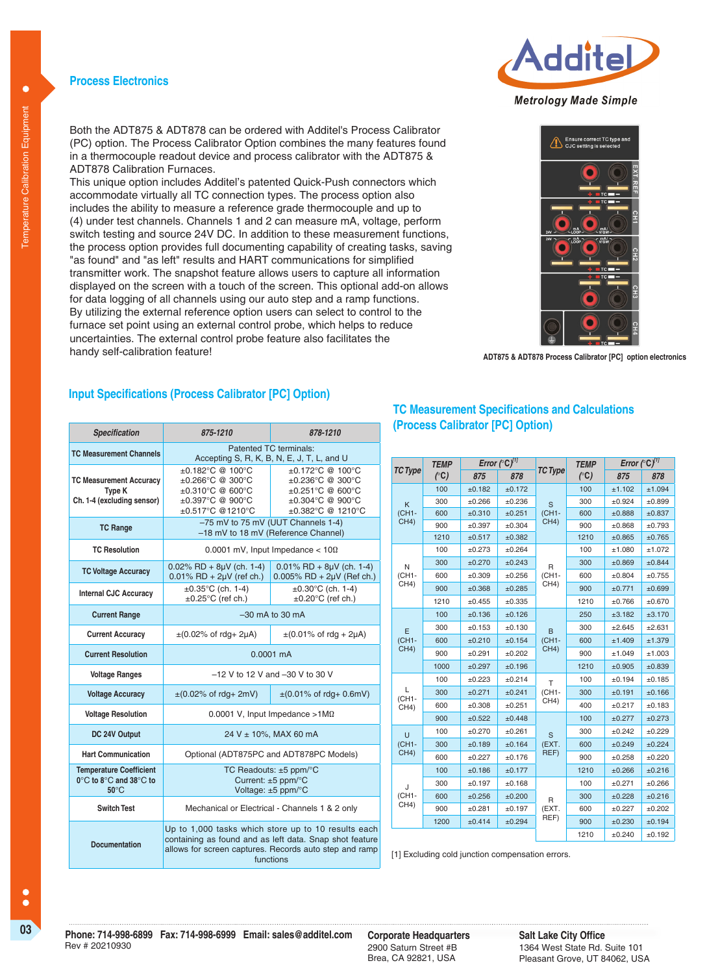### **Process Electronics**



This unique option includes Additel's patented Quick-Push connectors which accommodate virtually all TC connection types. The process option also includes the ability to measure a reference grade thermocouple and up to (4) under test channels. Channels 1 and 2 can measure mA, voltage, perform switch testing and source 24V DC. In addition to these measurement functions, the process option provides full documenting capability of creating tasks, saving "as found" and "as left" results and HART communications for simplified transmitter work. The snapshot feature allows users to capture all information displayed on the screen with a touch of the screen. This optional add-on allows for data logging of all channels using our auto step and a ramp functions. By utilizing the external reference option users can select to control to the furnace set point using an external control probe, which helps to reduce uncertainties. The external control probe feature also facilitates the handy self-calibration feature!

# **Input Specifications (Process Calibrator [PC] Option)**

| <b>Specification</b>                                                                                     | 875-1210                                                                                                                                                                              | 878-1210                                                                                                                                           |  |
|----------------------------------------------------------------------------------------------------------|---------------------------------------------------------------------------------------------------------------------------------------------------------------------------------------|----------------------------------------------------------------------------------------------------------------------------------------------------|--|
| <b>TC Measurement Channels</b>                                                                           | Patented TC terminals:<br>Accepting S, R, K, B, N, E, J, T, L, and U                                                                                                                  |                                                                                                                                                    |  |
| <b>TC Measurement Accuracy</b><br><b>Type K</b><br>Ch. 1-4 (excluding sensor)                            | $+0.182^{\circ}$ C @ 100 $^{\circ}$ C<br>$±0.266^{\circ}$ C @ 300 $^{\circ}$ C<br>±0.310°C @ 600°C<br>$+0.397^{\circ}$ C @ 900 $^{\circ}$ C<br>±0.517°C @1210°C                       | $\pm 0.172^{\circ}$ C @ 100°C<br>±0.236°C @ 300°C<br>$±0.251^{\circ}C$ @ 600°C<br>$+0.304$ °C @ 900°C<br>$\pm 0.382^{\circ}$ C @ 1210 $^{\circ}$ C |  |
| <b>TC Range</b>                                                                                          | -75 mV to 75 mV (UUT Channels 1-4)<br>-18 mV to 18 mV (Reference Channel)                                                                                                             |                                                                                                                                                    |  |
| <b>TC Resolution</b>                                                                                     | 0.0001 mV, Input Impedance $<$ 10 $\Omega$                                                                                                                                            |                                                                                                                                                    |  |
| <b>TC Voltage Accuracy</b>                                                                               | $0.02\%$ RD + 8µV (ch. 1-4)<br>$0.01\%$ RD + $2\mu$ V (ref ch.)                                                                                                                       | $0.01\%$ RD + 8µV (ch. 1-4)<br>$0.005\%$ RD + $2\mu$ V (Ref ch.)                                                                                   |  |
| <b>Internal CJC Accuracy</b>                                                                             | $\pm 0.35^{\circ}$ C (ch. 1-4)<br>$\pm 0.25^{\circ}$ C (ref ch.)                                                                                                                      | $\pm 0.30^{\circ}$ C (ch. 1-4)<br>$\pm 0.20^{\circ}$ C (ref ch.)                                                                                   |  |
| <b>Current Range</b>                                                                                     | $-30$ mA to 30 mA                                                                                                                                                                     |                                                                                                                                                    |  |
| <b>Current Accuracy</b>                                                                                  | $\pm (0.02\% \text{ of } r\text{dg} + 2\mu\text{A})$                                                                                                                                  | $\pm (0.01\% \text{ of } r\text{d}q + 2\mu\text{A})$                                                                                               |  |
| <b>Current Resolution</b>                                                                                | $0.0001 \text{ mA}$                                                                                                                                                                   |                                                                                                                                                    |  |
| <b>Voltage Ranges</b>                                                                                    | $-12$ V to 12 V and $-30$ V to 30 V                                                                                                                                                   |                                                                                                                                                    |  |
| <b>Voltage Accuracy</b>                                                                                  | $\pm (0.01\% \text{ of } r dq + 0.6 \text{mV})$<br>$\pm$ (0.02% of rdg+ 2mV)                                                                                                          |                                                                                                                                                    |  |
| <b>Voltage Resolution</b>                                                                                | 0.0001 V, Input Impedance $>1$ M $\Omega$                                                                                                                                             |                                                                                                                                                    |  |
| DC 24V Output                                                                                            | 24 V ± 10%, MAX 60 mA                                                                                                                                                                 |                                                                                                                                                    |  |
| <b>Hart Communication</b>                                                                                | Optional (ADT875PC and ADT878PC Models)                                                                                                                                               |                                                                                                                                                    |  |
| <b>Temperature Coefficient</b><br>$0^{\circ}$ C to $8^{\circ}$ C and $38^{\circ}$ C to<br>$50^{\circ}$ C | TC Readouts: $±5$ ppm/ $°C$<br>Current: $\pm 5$ ppm/ $\degree$ C<br>Voltage: ±5 ppm/°C                                                                                                |                                                                                                                                                    |  |
| <b>Switch Test</b>                                                                                       | Mechanical or Electrical - Channels 1 & 2 only                                                                                                                                        |                                                                                                                                                    |  |
| <b>Documentation</b>                                                                                     | Up to 1,000 tasks which store up to 10 results each<br>containing as found and as left data. Snap shot feature<br>allows for screen captures. Records auto step and ramp<br>functions |                                                                                                                                                    |  |

# **TC Measurement Specifications and Calculations (Process Calibrator [PC] Option)**

| <b>TC Type</b> | Error $({}^{\circ}C)^{11}$<br><b>TEMP</b> |             |        | <b>TEMP</b>    | Error $(^{\circ}C)^{11}$ |        |             |
|----------------|-------------------------------------------|-------------|--------|----------------|--------------------------|--------|-------------|
|                | $\binom{c}{c}$                            | 875         | 878    | <b>TC Type</b> | $\binom{c}{c}$           | 875    | 878         |
|                | 100                                       | ±0.182      | ±0.172 |                | 100                      | ±1.102 | ±1.094      |
| K              | 300                                       | ±0.266      | ±0.236 | S              | 300                      | ±0.924 | ±0.899      |
| (CH1-          | 600                                       | ±0.310      | ±0.251 | $(CH1-$        | 600                      | ±0.888 | ±0.837      |
| CH4)           | 900                                       | ±0.397      | ±0.304 | CH4)           | 900                      | ±0.868 | $\pm 0.793$ |
|                | 1210                                      | $\pm 0.517$ | ±0.382 |                | 1210                     | ±0.865 | ±0.765      |
|                | 100                                       | ±0.273      | ±0.264 |                | 100                      | ±1.080 | ±1.072      |
| N              | 300                                       | ±0.270      | ±0.243 | R              | 300                      | ±0.869 | ±0.844      |
| (CH1-          | 600                                       | ±0.309      | ±0.256 | $(CH1-$        | 600                      | ±0.804 | ±0.755      |
| CH4)           | 900                                       | ±0.368      | ±0.285 | CH4)           | 900                      | ±0.771 | ±0.699      |
|                | 1210                                      | ±0.455      | ±0.335 |                | 1210                     | ±0.766 | ±0.670      |
|                | 100                                       | ±0.136      | ±0.126 |                | 250                      | ±3.182 | ±3.170      |
| E              | 300                                       | ±0.153      | ±0.130 | B              | 300                      | ±2.645 | ±2.631      |
| (CH1-          | 600                                       | ±0.210      | ±0.154 | (CH1-          | 600                      | ±1.409 | ±1.379      |
| CH4)           | 900                                       | ±0.291      | ±0.202 | CH4)           | 900                      | ±1.049 | ±1.003      |
|                | 1000                                      | ±0.297      | ±0.196 |                | 1210                     | ±0.905 | ±0.839      |
|                | 100                                       | ±0.223      | ±0.214 | T              | 100                      | ±0.194 | ±0.185      |
| L<br>(CH1-     | 300                                       | ±0.271      | ±0.241 | (CH1-          | 300                      | ±0.191 | ±0.166      |
| CH4)           | 600                                       | ±0.308      | ±0.251 | CH4)           | 400                      | ±0.217 | ±0.183      |
|                | 900                                       | ±0.522      | ±0.448 |                | 100                      | ±0.277 | ±0.273      |
| Ü              | 100                                       | ±0.270      | ±0.261 | S              | 300                      | ±0.242 | ±0.229      |
| (CH1-          | 300                                       | ±0.189      | ±0.164 | (EXT.          | 600                      | ±0.249 | ±0.224      |
| CH4)           | 600                                       | ±0.227      | ±0.176 | REF)           | 900                      | ±0.258 | ±0.220      |
|                | 100                                       | ±0.186      | ±0.177 |                | 1210                     | ±0.266 | ±0.216      |
| J              | 300                                       | ±0.197      | ±0.168 |                | 100                      | ±0.271 | ±0.266      |
| (CH1-          | 600                                       | ±0.256      | ±0.200 | R              | 300                      | ±0.228 | ±0.216      |
| CH4)           | 900                                       | ±0.281      | ±0.197 | (EXT.          | 600                      | ±0.227 | ±0.202      |
|                | 1200                                      | ±0.414      | ±0.294 | REF)           | 900                      | ±0.230 | ±0.194      |
|                |                                           |             |        |                | 1210                     | ±0.240 | ±0.192      |

[1] Excluding cold junction compensation errors.

 $\bullet$ 

Ċ  $\bullet$ 





**ADT875 & ADT878 Process Calibrator [PC] option electronics**